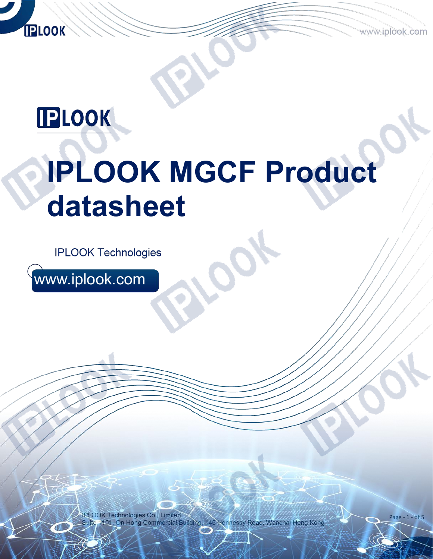**IPLOOK** 

# **IPLOOK MGCF Product datasheet**

**IPLOOK Technologies** 

www.iplook.com

IPLOOK Technologies Co., Limited 1101, On Hong Commercial Building, 145 Hennessy Road, Wanchai Hong Kong

Page - 1 - of 5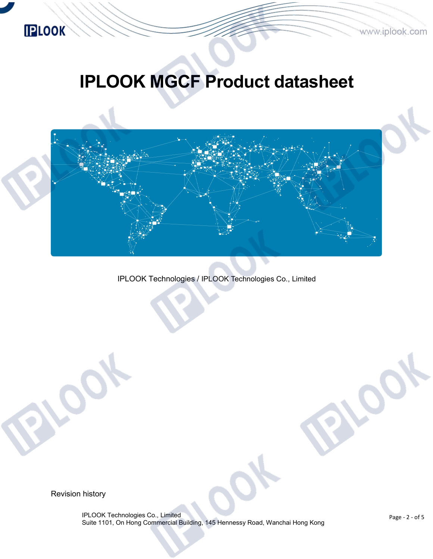

# **IPLOOK MGCF Product datasheet**



IPLOOK Technologies / IPLOOK Technologies Co., Limited

Revision history

IPLOOK Technologies Co., Limited Suite 1101, On Hong Commercial Building, 145 Hennessy Road, Wanchai Hong Kong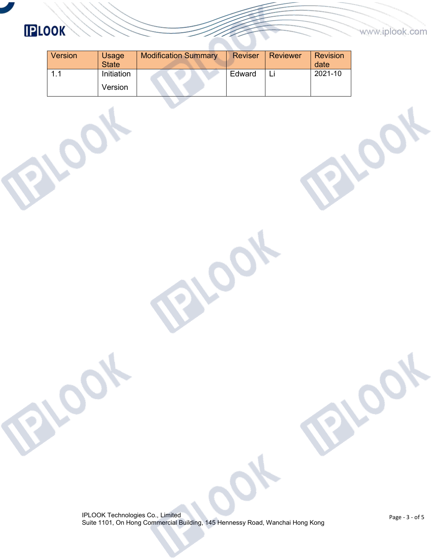#### www.iplook.com

## **IPLOOK**

| <b>Version</b> | Usage<br><b>State</b> | <b>Modification Summary</b> | <b>Reviser</b> | <b>Reviewer</b> | <b>Revision</b><br>date |
|----------------|-----------------------|-----------------------------|----------------|-----------------|-------------------------|
|                | Initiation            |                             | Edward         | Li              | 2021-10                 |
|                | Version               |                             |                |                 |                         |

 $\overline{\mathcal{C}}$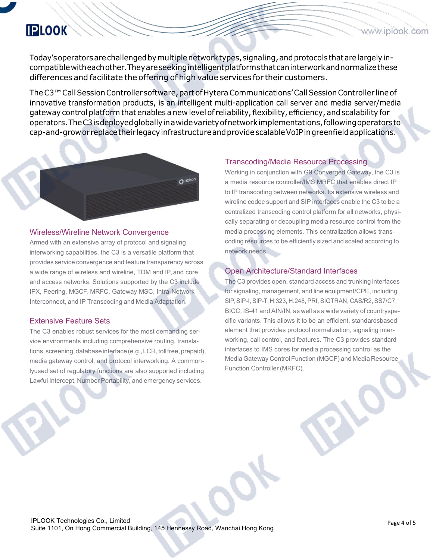Today'soperatorsarechallengedbymultiplenetworktypes,signaling,andprotocols thatarelargelyin compatiblewitheachother.Theyareseekingintelligentplatformsthatcaninterworkandnormalizethese differences and facilitate the offering of high value services for their customers.

The C3<sup>™</sup> Call Session Controller software, part of Hytera Communications' Call Session Controller line of innovative transformation products, is an intelligent multi-application call server and media server/media gateway control platform that enables a new level of reliability, flexibility, efficiency, and scalability for operators.TheC3isdeployedgloballyinawidevarietyofnetworkimplementations,followingoperatorsto cap-and-growor replacetheir legacyinfrastructureandprovidescalableVoIPingreenfieldapplications.



#### Wireless/Wireline Network Convergence

Armed with an extensive array of protocol and signaling interworking capabilities, the C3 is a versatile platform that provides service convergence and feature transparency across a wide range of wireless and wireline, TDM and IP, and core and access networks. Solutions supported by the C3 include IPX, Peering, MGCF, MRFC, Gateway MSC, Intra-Network Interconnect, and IP Transcoding and Media Adaptation.

#### Extensive Feature Sets

The C3 enables robust services for the most demanding ser vice environments including comprehensive routing, translations, screening, database interface (e.g., LCR, toll free, prepaid), media gateway control, and protocol interworking. A commonlyused set of regulatory functions are also supported including Lawful Intercept, Number Portability, and emergency services.

#### Transcoding/Media Resource Processing

Working in conjunction with G9 Converged Gateway, the C3 is a media resource controller/IMS MRFC that enables direct IP to IP transcoding between networks. Its extensive wireless and wireline codec support and SIP interfaces enable the C3 to be a centralized transcoding control platform for all networks, physi cally separating or decoupling media resource control from the media processing elements. This centralization allows trans coding resources to be efficiently sized and scaled according to network needs.

#### Open Architecture/Standard Interfaces

The C3 provides open, standard access and trunking interfaces for signaling, management, and line equipment/CPE, including SIP,SIP-I, SIP-T, H.323, H.248, PRI, SIGTRAN, CAS/R2, SS7/C7, BICC, IS-41 and AIN/IN, as well as a wide variety of countryspe cific variants. This allows it to be an efficient, standardsbased element that provides protocol normalization, signaling inter working, call control, and features. The C3 provides standard interfaces to IMS cores for media processing control as the Media Gateway Control Function (MGCF) and Media Resource Function Controller (MRFC).

www.iplook.com